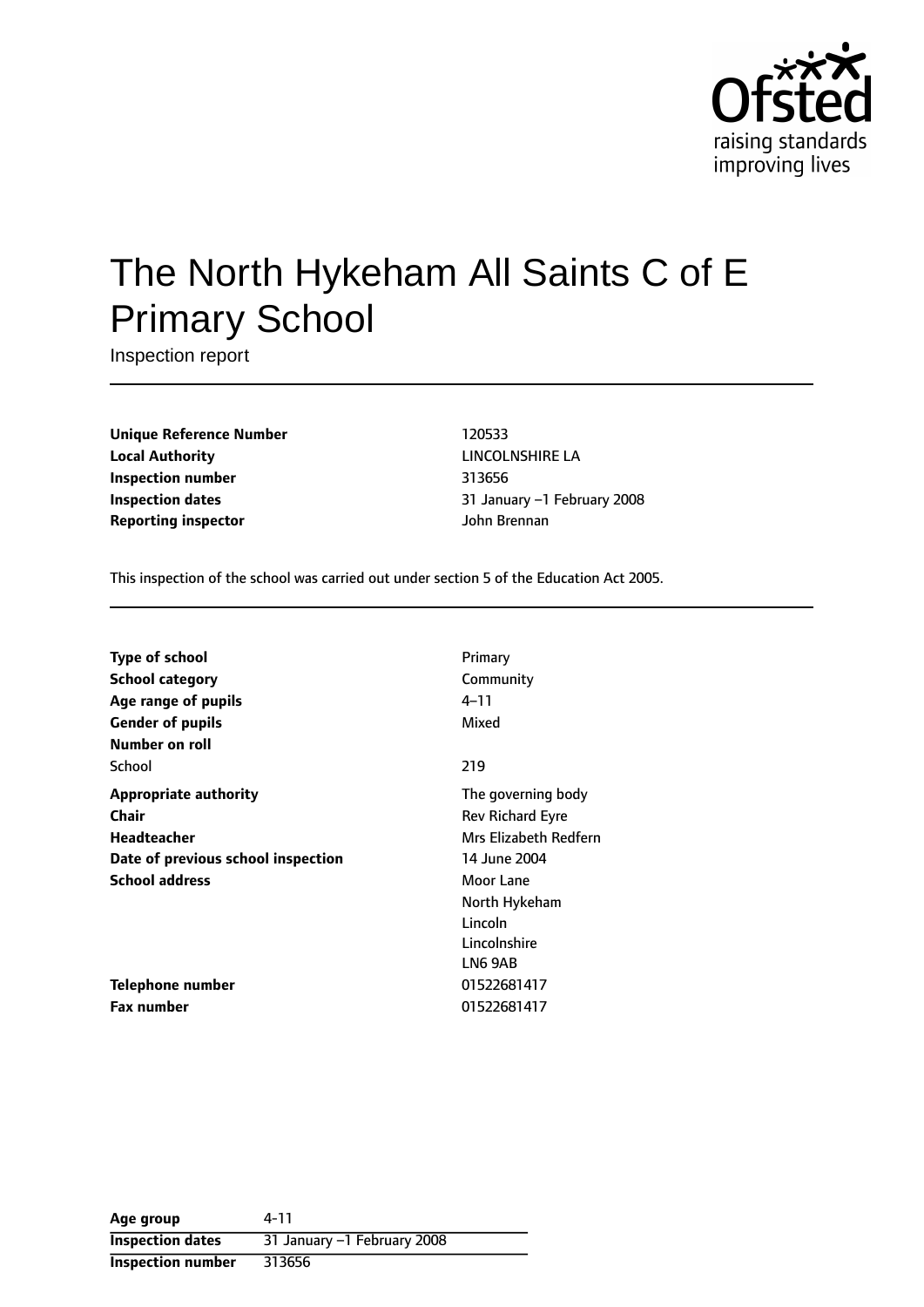

# The North Hykeham All Saints C of E Primary School

Inspection report

**Unique Reference Number** 120533 **Local Authority** LINCOLNSHIRE LA **Inspection number** 313656 **Inspection dates** 31 January 1 February 2008 **Reporting inspector** John Brennan

This inspection of the school was carried out under section 5 of the Education Act 2005.

| <b>Type of school</b>              | Primary                 |
|------------------------------------|-------------------------|
| <b>School category</b>             | Community               |
| Age range of pupils                | 4–11                    |
| <b>Gender of pupils</b>            | Mixed                   |
| Number on roll                     |                         |
| School                             | 219                     |
| <b>Appropriate authority</b>       | The governing body      |
| <b>Chair</b>                       | <b>Rev Richard Eyre</b> |
| <b>Headteacher</b>                 | Mrs Elizabeth Redfern   |
| Date of previous school inspection | 14 June 2004            |
| <b>School address</b>              | Moor Lane               |
|                                    | North Hykeham           |
|                                    | Lincoln                 |
|                                    | Lincolnshire            |
|                                    | LN6 9AB                 |
| Telephone number                   | 01522681417             |
| Fax number                         | 01522681417             |

| Age group               | 4-11                        |
|-------------------------|-----------------------------|
| <b>Inspection dates</b> | 31 January -1 February 2008 |
| Inspection number       | 313656                      |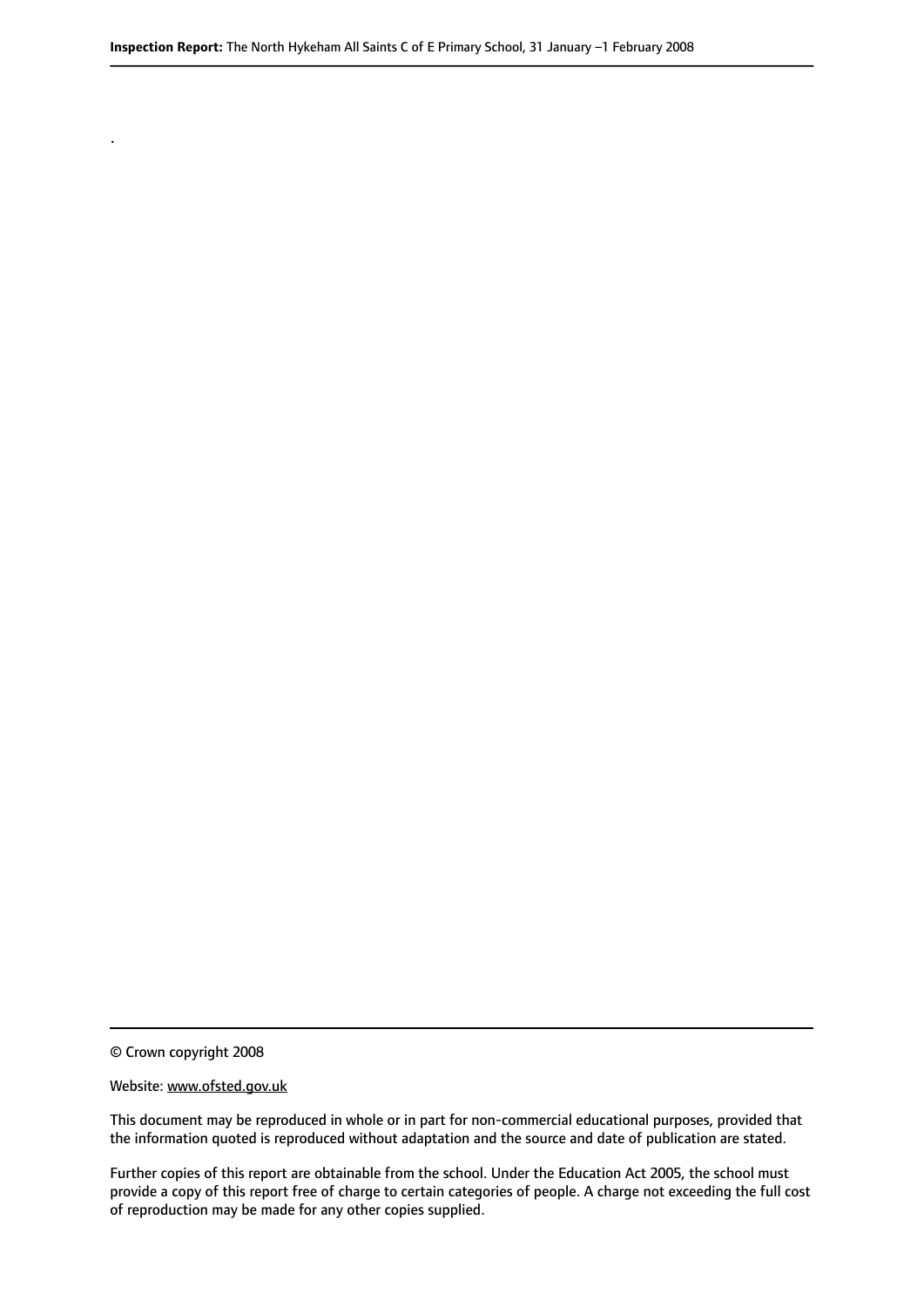© Crown copyright 2008

.

#### Website: www.ofsted.gov.uk

This document may be reproduced in whole or in part for non-commercial educational purposes, provided that the information quoted is reproduced without adaptation and the source and date of publication are stated.

Further copies of this report are obtainable from the school. Under the Education Act 2005, the school must provide a copy of this report free of charge to certain categories of people. A charge not exceeding the full cost of reproduction may be made for any other copies supplied.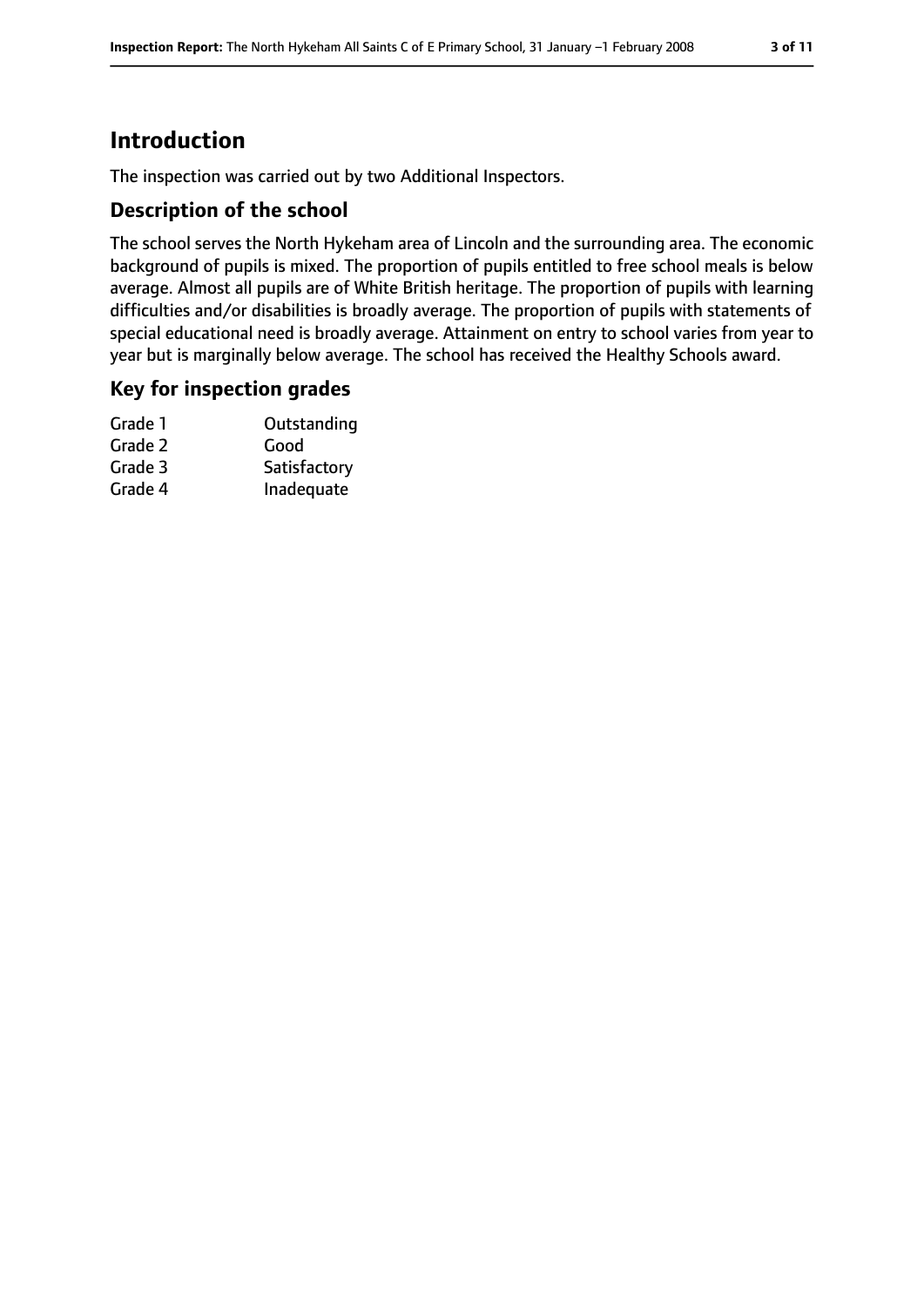# **Introduction**

The inspection was carried out by two Additional Inspectors.

### **Description of the school**

The school serves the North Hykeham area of Lincoln and the surrounding area. The economic background of pupils is mixed. The proportion of pupils entitled to free school meals is below average. Almost all pupils are of White British heritage. The proportion of pupils with learning difficulties and/or disabilities is broadly average. The proportion of pupils with statements of special educational need is broadly average. Attainment on entry to school varies from year to year but is marginally below average. The school has received the Healthy Schools award.

### **Key for inspection grades**

| Grade 1 | Outstanding  |
|---------|--------------|
| Grade 2 | Good         |
| Grade 3 | Satisfactory |
| Grade 4 | Inadequate   |
|         |              |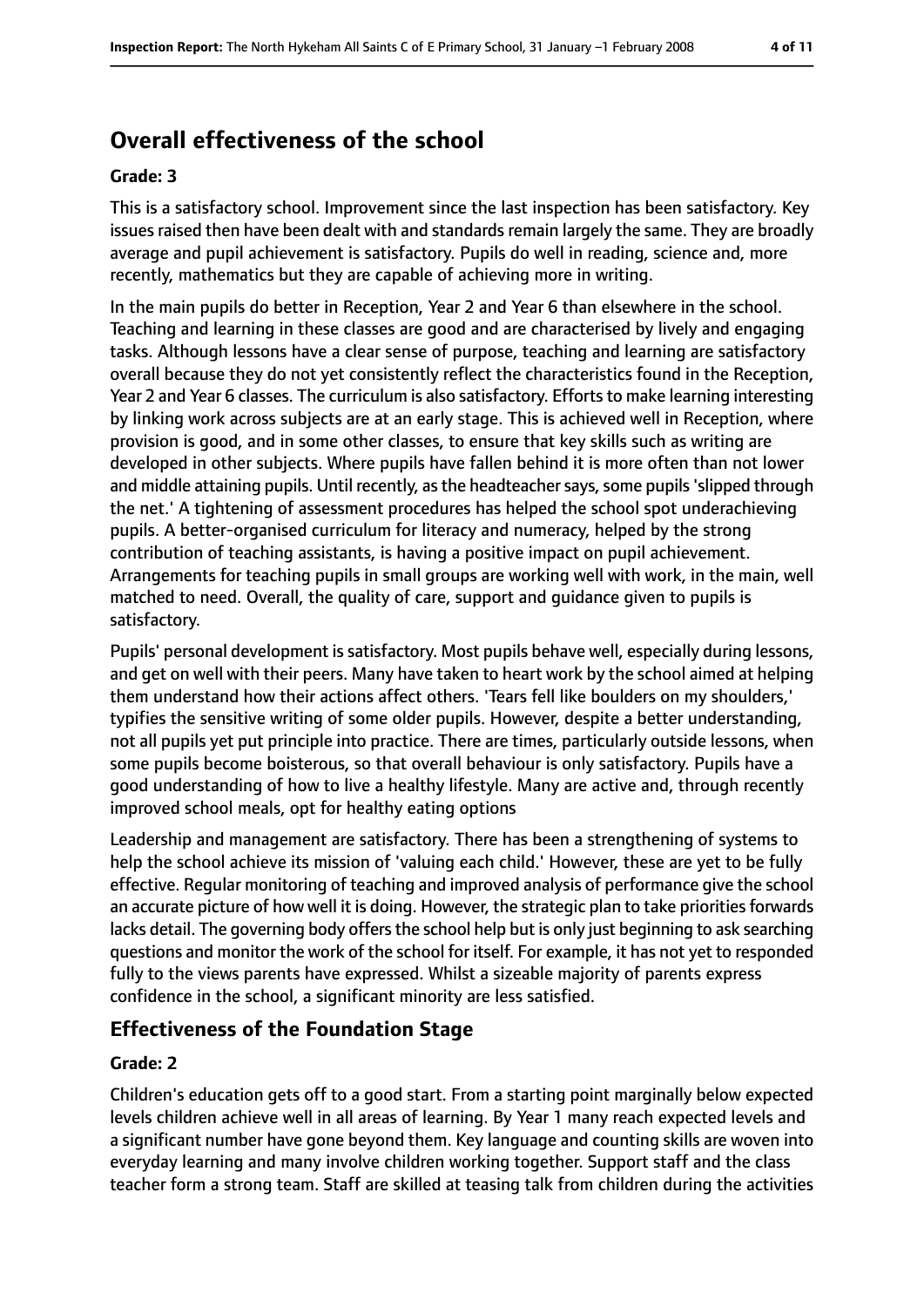# **Overall effectiveness of the school**

#### **Grade: 3**

This is a satisfactory school. Improvement since the last inspection has been satisfactory. Key issues raised then have been dealt with and standards remain largely the same. They are broadly average and pupil achievement is satisfactory. Pupils do well in reading, science and, more recently, mathematics but they are capable of achieving more in writing.

In the main pupils do better in Reception, Year 2 and Year 6 than elsewhere in the school. Teaching and learning in these classes are good and are characterised by lively and engaging tasks. Although lessons have a clear sense of purpose, teaching and learning are satisfactory overall because they do not yet consistently reflect the characteristics found in the Reception, Year 2 and Year 6 classes. The curriculum is also satisfactory. Efforts to make learning interesting by linking work across subjects are at an early stage. This is achieved well in Reception, where provision is good, and in some other classes, to ensure that key skills such as writing are developed in other subjects. Where pupils have fallen behind it is more often than not lower and middle attaining pupils. Until recently, as the headteacher says, some pupils 'slipped through the net.' A tightening of assessment procedures has helped the school spot underachieving pupils. A better-organised curriculum for literacy and numeracy, helped by the strong contribution of teaching assistants, is having a positive impact on pupil achievement. Arrangements for teaching pupils in small groups are working well with work, in the main, well matched to need. Overall, the quality of care, support and guidance given to pupils is satisfactory.

Pupils' personal development is satisfactory. Most pupils behave well, especially during lessons, and get on well with their peers. Many have taken to heart work by the school aimed at helping them understand how their actions affect others. 'Tears fell like boulders on my shoulders,' typifies the sensitive writing of some older pupils. However, despite a better understanding, not all pupils yet put principle into practice. There are times, particularly outside lessons, when some pupils become boisterous, so that overall behaviour is only satisfactory. Pupils have a good understanding of how to live a healthy lifestyle. Many are active and, through recently improved school meals, opt for healthy eating options

Leadership and management are satisfactory. There has been a strengthening of systems to help the school achieve its mission of 'valuing each child.' However, these are yet to be fully effective. Regular monitoring of teaching and improved analysis of performance give the school an accurate picture of how well it is doing. However, the strategic plan to take priorities forwards lacks detail. The governing body offers the school help but is only just beginning to ask searching questions and monitor the work of the school for itself. For example, it has not yet to responded fully to the views parents have expressed. Whilst a sizeable majority of parents express confidence in the school, a significant minority are less satisfied.

### **Effectiveness of the Foundation Stage**

#### **Grade: 2**

Children's education gets off to a good start. From a starting point marginally below expected levels children achieve well in all areas of learning. By Year 1 many reach expected levels and a significant number have gone beyond them. Key language and counting skills are woven into everyday learning and many involve children working together. Support staff and the class teacher form a strong team. Staff are skilled at teasing talk from children during the activities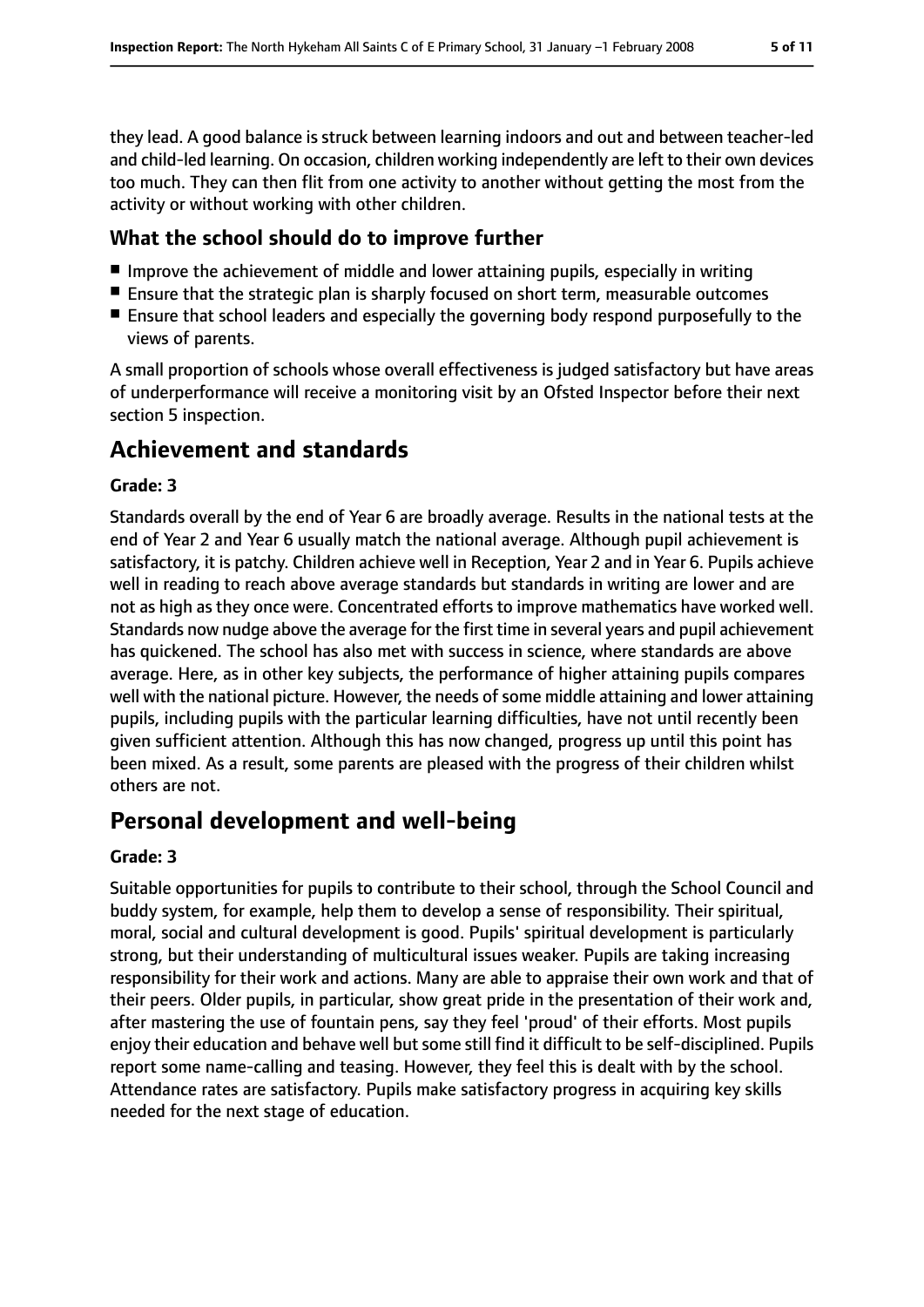they lead. A good balance is struck between learning indoors and out and between teacher-led and child-led learning. On occasion, children working independently are left to their own devices too much. They can then flit from one activity to another without getting the most from the activity or without working with other children.

## **What the school should do to improve further**

- Improve the achievement of middle and lower attaining pupils, especially in writing
- Ensure that the strategic plan is sharply focused on short term, measurable outcomes
- Ensure that school leaders and especially the governing body respond purposefully to the views of parents.

A small proportion of schools whose overall effectiveness is judged satisfactory but have areas of underperformance will receive a monitoring visit by an Ofsted Inspector before their next section 5 inspection.

# **Achievement and standards**

### **Grade: 3**

Standards overall by the end of Year 6 are broadly average. Results in the national tests at the end of Year 2 and Year 6 usually match the national average. Although pupil achievement is satisfactory, it is patchy. Children achieve well in Reception, Year 2 and in Year 6. Pupils achieve well in reading to reach above average standards but standards in writing are lower and are not as high as they once were. Concentrated efforts to improve mathematics have worked well. Standards now nudge above the average for the first time in several years and pupil achievement has quickened. The school has also met with success in science, where standards are above average. Here, as in other key subjects, the performance of higher attaining pupils compares well with the national picture. However, the needs of some middle attaining and lower attaining pupils, including pupils with the particular learning difficulties, have not until recently been given sufficient attention. Although this has now changed, progress up until this point has been mixed. As a result, some parents are pleased with the progress of their children whilst others are not.

# **Personal development and well-being**

### **Grade: 3**

Suitable opportunities for pupils to contribute to their school, through the School Council and buddy system, for example, help them to develop a sense of responsibility. Their spiritual, moral, social and cultural development is good. Pupils' spiritual development is particularly strong, but their understanding of multicultural issues weaker. Pupils are taking increasing responsibility for their work and actions. Many are able to appraise their own work and that of their peers. Older pupils, in particular, show great pride in the presentation of their work and, after mastering the use of fountain pens, say they feel 'proud' of their efforts. Most pupils enjoy their education and behave well but some still find it difficult to be self-disciplined. Pupils report some name-calling and teasing. However, they feel this is dealt with by the school. Attendance rates are satisfactory. Pupils make satisfactory progress in acquiring key skills needed for the next stage of education.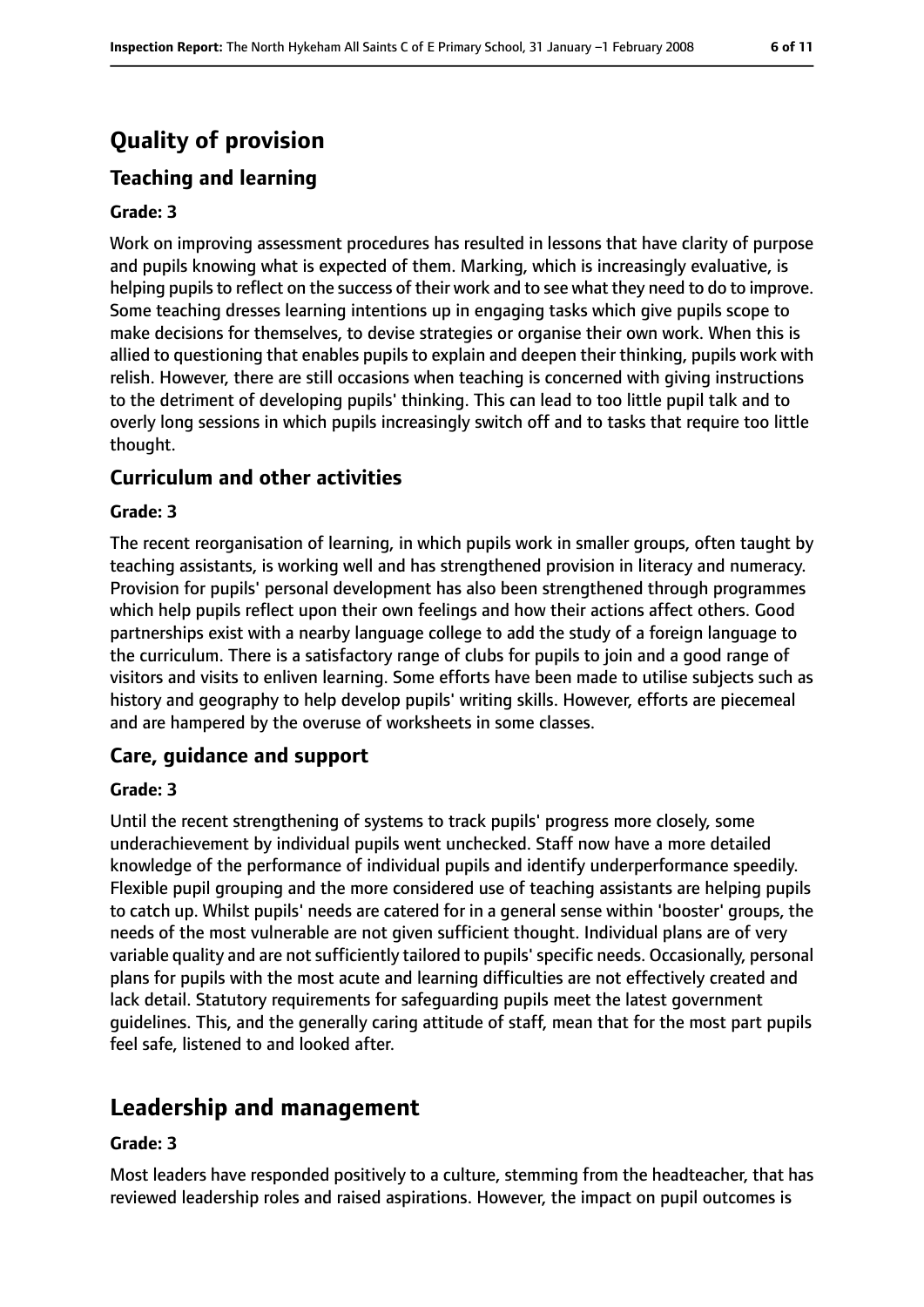# **Quality of provision**

# **Teaching and learning**

#### **Grade: 3**

Work on improving assessment procedures has resulted in lessons that have clarity of purpose and pupils knowing what is expected of them. Marking, which is increasingly evaluative, is helping pupils to reflect on the success of their work and to see what they need to do to improve. Some teaching dresses learning intentions up in engaging tasks which give pupils scope to make decisions for themselves, to devise strategies or organise their own work. When this is allied to questioning that enables pupils to explain and deepen their thinking, pupils work with relish. However, there are still occasions when teaching is concerned with giving instructions to the detriment of developing pupils' thinking. This can lead to too little pupil talk and to overly long sessions in which pupils increasingly switch off and to tasks that require too little thought.

### **Curriculum and other activities**

#### **Grade: 3**

The recent reorganisation of learning, in which pupils work in smaller groups, often taught by teaching assistants, is working well and has strengthened provision in literacy and numeracy. Provision for pupils' personal development has also been strengthened through programmes which help pupils reflect upon their own feelings and how their actions affect others. Good partnerships exist with a nearby language college to add the study of a foreign language to the curriculum. There is a satisfactory range of clubs for pupils to join and a good range of visitors and visits to enliven learning. Some efforts have been made to utilise subjects such as history and geography to help develop pupils' writing skills. However, efforts are piecemeal and are hampered by the overuse of worksheets in some classes.

#### **Care, guidance and support**

#### **Grade: 3**

Until the recent strengthening of systems to track pupils' progress more closely, some underachievement by individual pupils went unchecked. Staff now have a more detailed knowledge of the performance of individual pupils and identify underperformance speedily. Flexible pupil grouping and the more considered use of teaching assistants are helping pupils to catch up. Whilst pupils' needs are catered for in a general sense within 'booster' groups, the needs of the most vulnerable are not given sufficient thought. Individual plans are of very variable quality and are not sufficiently tailored to pupils' specific needs. Occasionally, personal plans for pupils with the most acute and learning difficulties are not effectively created and lack detail. Statutory requirements for safeguarding pupils meet the latest government guidelines. This, and the generally caring attitude of staff, mean that for the most part pupils feel safe, listened to and looked after.

# **Leadership and management**

#### **Grade: 3**

Most leaders have responded positively to a culture, stemming from the headteacher, that has reviewed leadership roles and raised aspirations. However, the impact on pupil outcomes is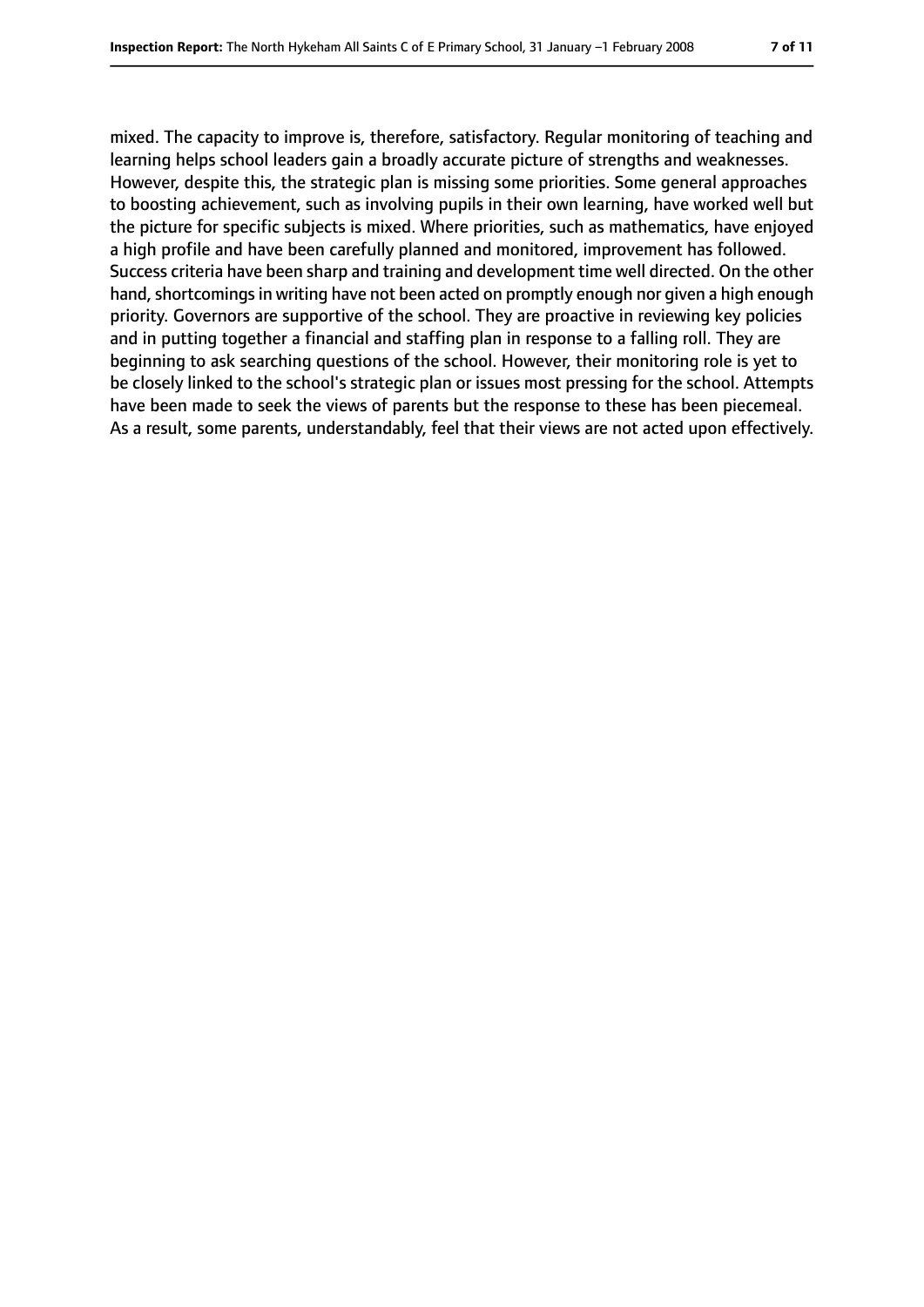mixed. The capacity to improve is, therefore, satisfactory. Regular monitoring of teaching and learning helps school leaders gain a broadly accurate picture of strengths and weaknesses. However, despite this, the strategic plan is missing some priorities. Some general approaches to boosting achievement, such as involving pupils in their own learning, have worked well but the picture for specific subjects is mixed. Where priorities, such as mathematics, have enjoyed a high profile and have been carefully planned and monitored, improvement has followed. Success criteria have been sharp and training and development time well directed. On the other hand, shortcomings in writing have not been acted on promptly enough nor given a high enough priority. Governors are supportive of the school. They are proactive in reviewing key policies and in putting together a financial and staffing plan in response to a falling roll. They are beginning to ask searching questions of the school. However, their monitoring role is yet to be closely linked to the school's strategic plan or issues most pressing for the school. Attempts have been made to seek the views of parents but the response to these has been piecemeal. As a result, some parents, understandably, feel that their views are not acted upon effectively.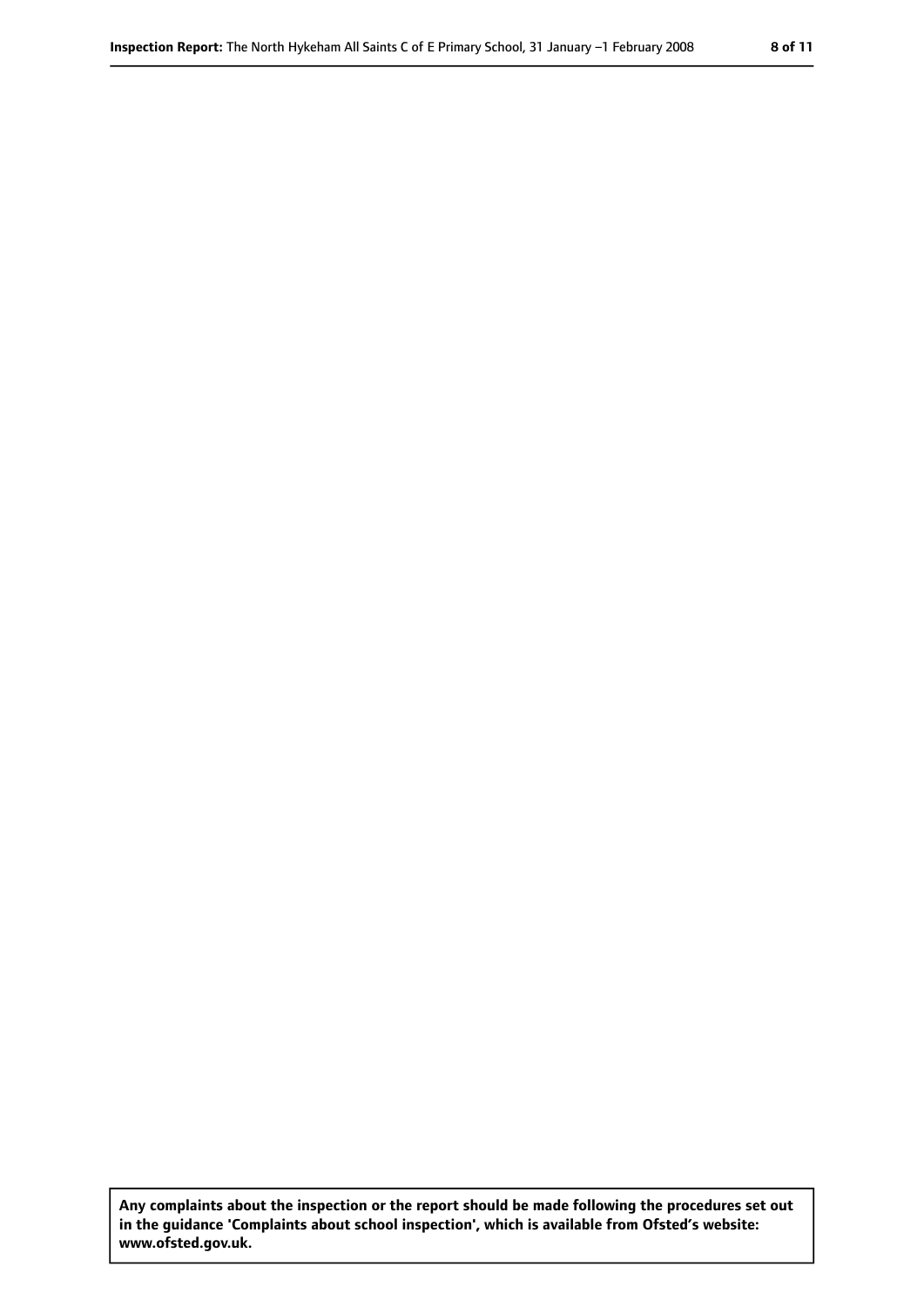**Any complaints about the inspection or the report should be made following the procedures set out in the guidance 'Complaints about school inspection', which is available from Ofsted's website: www.ofsted.gov.uk.**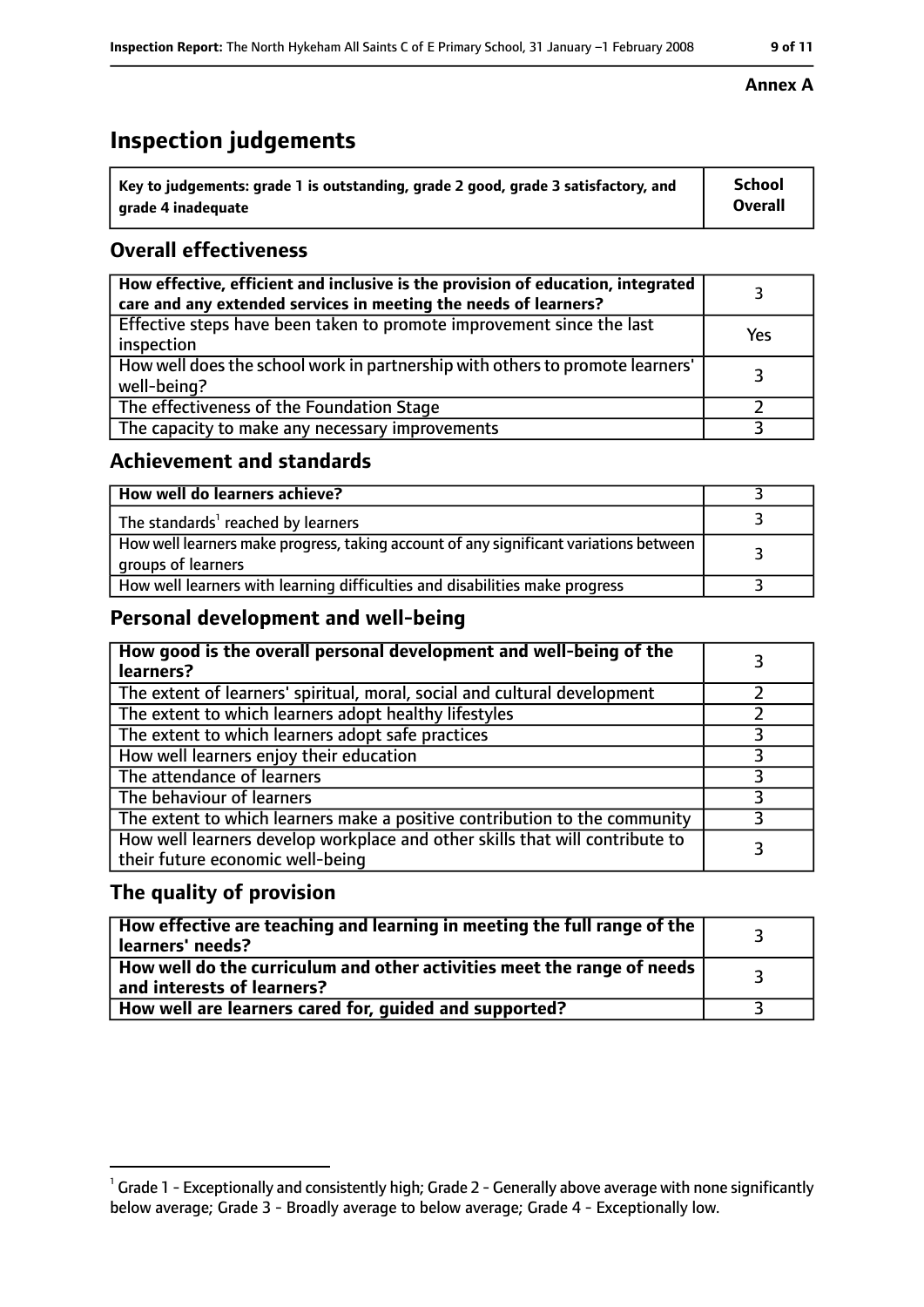# **Inspection judgements**

| $\degree$ Key to judgements: grade 1 is outstanding, grade 2 good, grade 3 satisfactory, and | School         |
|----------------------------------------------------------------------------------------------|----------------|
| arade 4 inadequate                                                                           | <b>Overall</b> |

# **Overall effectiveness**

| How effective, efficient and inclusive is the provision of education, integrated<br>care and any extended services in meeting the needs of learners? |     |
|------------------------------------------------------------------------------------------------------------------------------------------------------|-----|
| Effective steps have been taken to promote improvement since the last<br>inspection                                                                  | Yes |
| How well does the school work in partnership with others to promote learners'<br>well-being?                                                         |     |
| The effectiveness of the Foundation Stage                                                                                                            |     |
| The capacity to make any necessary improvements                                                                                                      |     |

### **Achievement and standards**

| How well do learners achieve?                                                                               |  |
|-------------------------------------------------------------------------------------------------------------|--|
| The standards <sup>1</sup> reached by learners                                                              |  |
| How well learners make progress, taking account of any significant variations between<br>groups of learners |  |
| How well learners with learning difficulties and disabilities make progress                                 |  |

# **Personal development and well-being**

| How good is the overall personal development and well-being of the<br>learners?                                  |  |
|------------------------------------------------------------------------------------------------------------------|--|
| The extent of learners' spiritual, moral, social and cultural development                                        |  |
| The extent to which learners adopt healthy lifestyles                                                            |  |
| The extent to which learners adopt safe practices                                                                |  |
| How well learners enjoy their education                                                                          |  |
| The attendance of learners                                                                                       |  |
| The behaviour of learners                                                                                        |  |
| The extent to which learners make a positive contribution to the community                                       |  |
| How well learners develop workplace and other skills that will contribute to<br>their future economic well-being |  |

### **The quality of provision**

| How effective are teaching and learning in meeting the full range of the<br>learners' needs?          |  |
|-------------------------------------------------------------------------------------------------------|--|
| How well do the curriculum and other activities meet the range of needs<br>and interests of learners? |  |
| How well are learners cared for, guided and supported?                                                |  |

#### **Annex A**

 $^1$  Grade 1 - Exceptionally and consistently high; Grade 2 - Generally above average with none significantly below average; Grade 3 - Broadly average to below average; Grade 4 - Exceptionally low.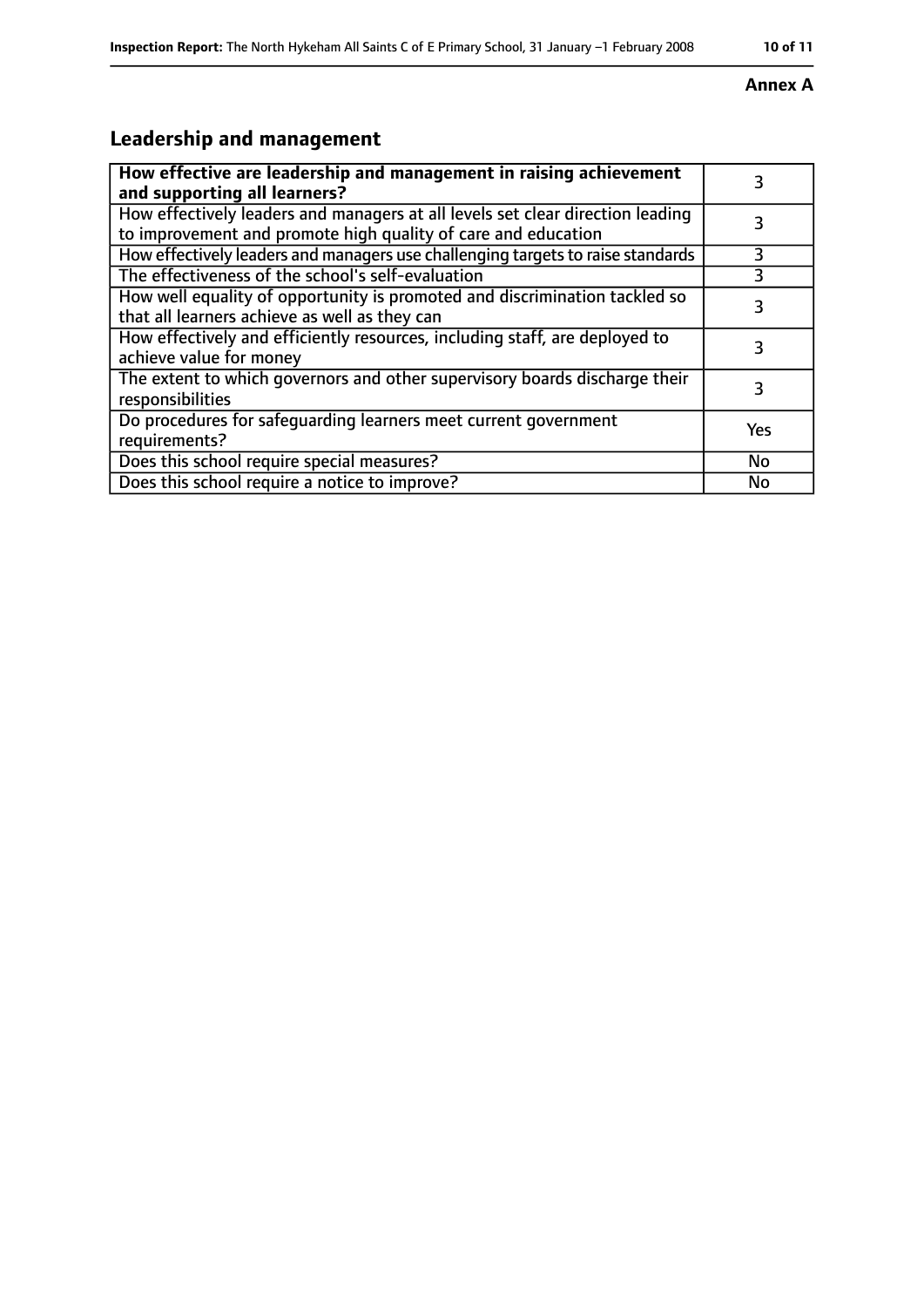#### **Annex A**

# **Leadership and management**

| How effective are leadership and management in raising achievement<br>and supporting all learners?                                              |     |
|-------------------------------------------------------------------------------------------------------------------------------------------------|-----|
| How effectively leaders and managers at all levels set clear direction leading<br>to improvement and promote high quality of care and education |     |
| How effectively leaders and managers use challenging targets to raise standards                                                                 | 3   |
| The effectiveness of the school's self-evaluation                                                                                               | 3   |
| How well equality of opportunity is promoted and discrimination tackled so<br>that all learners achieve as well as they can                     |     |
| How effectively and efficiently resources, including staff, are deployed to<br>achieve value for money                                          | 3   |
| The extent to which governors and other supervisory boards discharge their<br>responsibilities                                                  |     |
| Do procedures for safequarding learners meet current government<br>requirements?                                                                | Yes |
| Does this school require special measures?                                                                                                      | No  |
| Does this school require a notice to improve?                                                                                                   | No  |